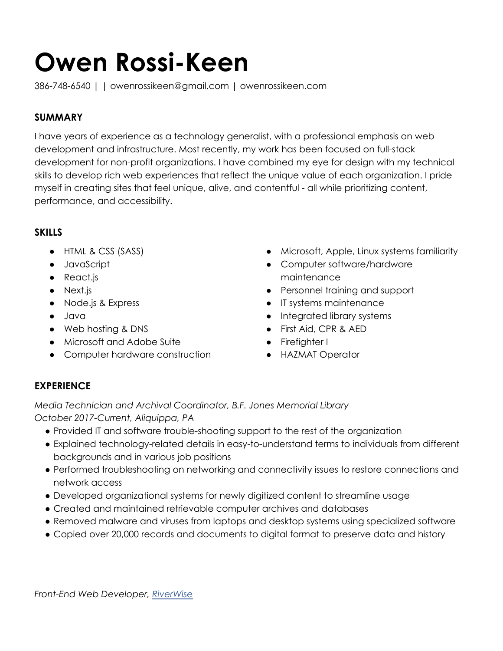# **Owen Rossi-Keen**

386-748-6540 | | owenrossikeen@gmail.com | owenrossikeen.com

## **SUMMARY**

I have years of experience as a technology generalist, with a professional emphasis on web development and infrastructure. Most recently, my work has been focused on full-stack development for non-profit organizations. I have combined my eye for design with my technical skills to develop rich web experiences that reflect the unique value of each organization. I pride myself in creating sites that feel unique, alive, and contentful - all while prioritizing content, performance, and accessibility.

#### **SKILLS**

- HTML & CSS (SASS)
- JavaScript
- React.js
- Next.js
- Node.js & Express
- Java
- Web hosting & DNS
- Microsoft and Adobe Suite
- Computer hardware construction
- Microsoft, Apple, Linux systems familiarity
- Computer software/hardware maintenance
- Personnel training and support
- IT systems maintenance
- Integrated library systems
- First Aid, CPR & AED
- Firefighter I
- HAZMAT Operator

## **EXPERIENCE**

*Media Technician and Archival Coordinator, B.F. Jones Memorial Library October 2017-Current, Aliquippa, PA*

- Provided IT and software trouble-shooting support to the rest of the organization
- Explained technology-related details in easy-to-understand terms to individuals from different backgrounds and in various job positions
- Performed troubleshooting on networking and connectivity issues to restore connections and network access
- Developed organizational systems for newly digitized content to streamline usage
- Created and maintained retrievable computer archives and databases
- Removed malware and viruses from laptops and desktop systems using specialized software
- Copied over 20,000 records and documents to digital format to preserve data and history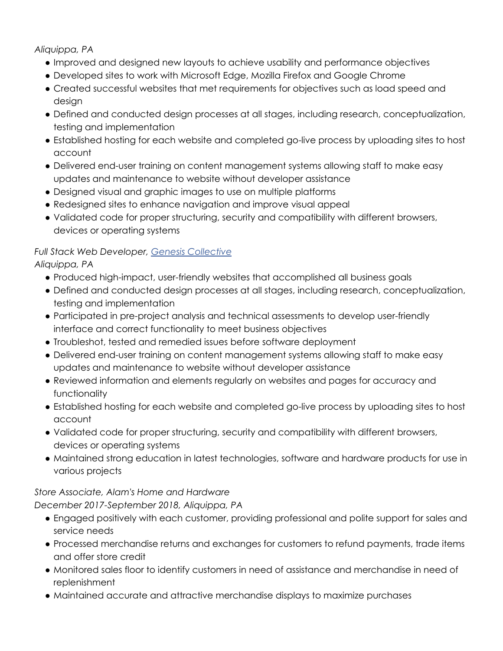*Aliquippa, PA*

- Improved and designed new layouts to achieve usability and performance objectives
- Developed sites to work with Microsoft Edge, Mozilla Firefox and Google Chrome
- Created successful websites that met requirements for objectives such as load speed and design
- Defined and conducted design processes at all stages, including research, conceptualization, testing and implementation
- Established hosting for each website and completed go-live process by uploading sites to host account
- Delivered end-user training on content management systems allowing staff to make easy updates and maintenance to website without developer assistance
- Designed visual and graphic images to use on multiple platforms
- Redesigned sites to enhance navigation and improve visual appeal
- Validated code for proper structuring, security and compatibility with different browsers, devices or operating systems

## *Full Stack Web Developer, Genesis [Collective](https://www.gcollective.org/)*

*Aliquippa, PA*

- Produced high-impact, user-friendly websites that accomplished all business goals
- Defined and conducted design processes at all stages, including research, conceptualization, testing and implementation
- Participated in pre-project analysis and technical assessments to develop user-friendly interface and correct functionality to meet business objectives
- Troubleshot, tested and remedied issues before software deployment
- Delivered end-user training on content management systems allowing staff to make easy updates and maintenance to website without developer assistance
- Reviewed information and elements regularly on websites and pages for accuracy and functionality
- Established hosting for each website and completed go-live process by uploading sites to host account
- Validated code for proper structuring, security and compatibility with different browsers, devices or operating systems
- Maintained strong education in latest technologies, software and hardware products for use in various projects

## *Store Associate, Alam's Home and Hardware*

*December 2017-September 2018, Aliquippa, PA*

- Engaged positively with each customer, providing professional and polite support for sales and service needs
- Processed merchandise returns and exchanges for customers to refund payments, trade items and offer store credit
- Monitored sales floor to identify customers in need of assistance and merchandise in need of replenishment
- Maintained accurate and attractive merchandise displays to maximize purchases